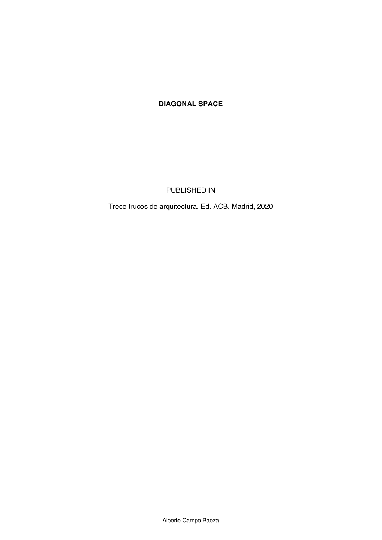## **DIAGONAL SPACE**

PUBLISHED IN

Trece trucos de arquitectura. Ed. ACB. Madrid, 2020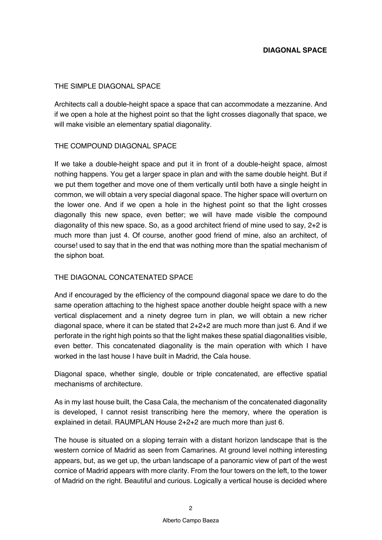## THE SIMPLE DIAGONAL SPACE

Architects call a double-height space a space that can accommodate a mezzanine. And if we open a hole at the highest point so that the light crosses diagonally that space, we will make visible an elementary spatial diagonality.

## THE COMPOUND DIAGONAL SPACE

If we take a double-height space and put it in front of a double-height space, almost nothing happens. You get a larger space in plan and with the same double height. But if we put them together and move one of them vertically until both have a single height in common, we will obtain a very special diagonal space. The higher space will overturn on the lower one. And if we open a hole in the highest point so that the light crosses diagonally this new space, even better; we will have made visible the compound diagonality of this new space. So, as a good architect friend of mine used to say, 2+2 is much more than just 4. Of course, another good friend of mine, also an architect, of course! used to say that in the end that was nothing more than the spatial mechanism of the siphon boat.

## THE DIAGONAL CONCATENATED SPACE

And if encouraged by the efficiency of the compound diagonal space we dare to do the same operation attaching to the highest space another double height space with a new vertical displacement and a ninety degree turn in plan, we will obtain a new richer diagonal space, where it can be stated that 2+2+2 are much more than just 6. And if we perforate in the right high points so that the light makes these spatial diagonalities visible, even better. This concatenated diagonality is the main operation with which I have worked in the last house I have built in Madrid, the Cala house.

Diagonal space, whether single, double or triple concatenated, are effective spatial mechanisms of architecture.

As in my last house built, the Casa Cala, the mechanism of the concatenated diagonality is developed, I cannot resist transcribing here the memory, where the operation is explained in detail. RAUMPLAN House 2+2+2 are much more than just 6.

The house is situated on a sloping terrain with a distant horizon landscape that is the western cornice of Madrid as seen from Camarines. At ground level nothing interesting appears, but, as we get up, the urban landscape of a panoramic view of part of the west cornice of Madrid appears with more clarity. From the four towers on the left, to the tower of Madrid on the right. Beautiful and curious. Logically a vertical house is decided where